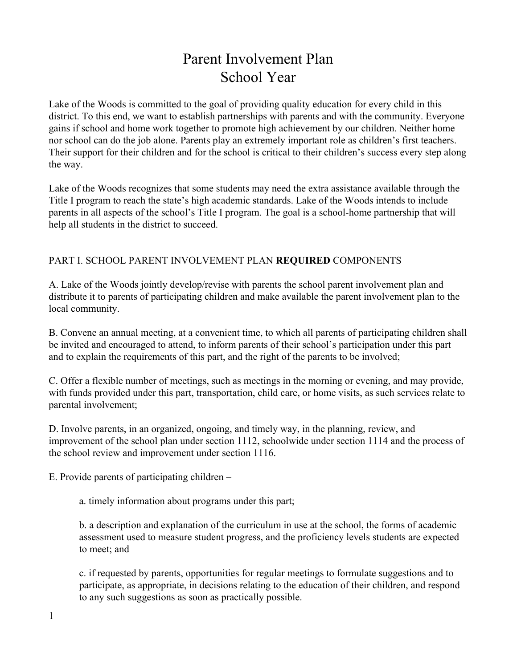# Parent Involvement Plan School Year

Lake of the Woods is committed to the goal of providing quality education for every child in this district. To this end, we want to establish partnerships with parents and with the community. Everyone gains if school and home work together to promote high achievement by our children. Neither home nor school can do the job alone. Parents play an extremely important role as children's first teachers. Their support for their children and for the school is critical to their children's success every step along the way.

Lake of the Woods recognizes that some students may need the extra assistance available through the Title I program to reach the state's high academic standards. Lake of the Woods intends to include parents in all aspects of the school's Title I program. The goal is a school-home partnership that will help all students in the district to succeed.

## PART I. SCHOOL PARENT INVOLVEMENT PLAN **REQUIRED**COMPONENTS

A. Lake of the Woods jointly develop/revise with parents the school parent involvement plan and distribute it to parents of participating children and make available the parent involvement plan to the local community.

B. Convene an annual meeting, at a convenient time, to which all parents of participating children shall be invited and encouraged to attend, to inform parents of their school's participation under this part and to explain the requirements of this part, and the right of the parents to be involved;

C. Offer a flexible number of meetings, such as meetings in the morning or evening, and may provide, with funds provided under this part, transportation, child care, or home visits, as such services relate to parental involvement;

D. Involve parents, in an organized, ongoing, and timely way, in the planning, review, and improvement of the school plan under section 1112, schoolwide under section 1114 and the process of the school review and improvement under section 1116.

E. Provide parents of participating children –

a. timely information about programs under this part;

b. a description and explanation of the curriculum in use at the school, the forms of academic assessment used to measure student progress, and the proficiency levels students are expected to meet; and

c. if requested by parents, opportunities for regular meetings to formulate suggestions and to participate, as appropriate, in decisions relating to the education of their children, and respond to any such suggestions as soon as practically possible.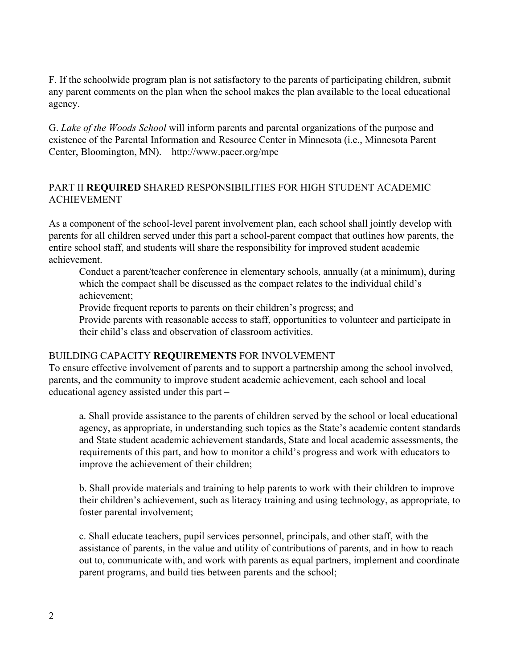F. If the schoolwide program plan is not satisfactory to the parents of participating children, submit any parent comments on the plan when the school makes the plan available to the local educational agency.

G. *Lake of the Woods School* will inform parents and parental organizations of the purpose and existence of the Parental Information and Resource Center in Minnesota (i.e., Minnesota Parent Center, Bloomington, MN). http://www.pacer.org/mpc

## PART II **REQUIRED**SHARED RESPONSIBILITIES FOR HIGH STUDENT ACADEMIC ACHIEVEMENT

As a component of the school-level parent involvement plan, each school shall jointly develop with parents for all children served under this part a school-parent compact that outlines how parents, the entire school staff, and students will share the responsibility for improved student academic achievement.

Conduct a parent/teacher conference in elementary schools, annually (at a minimum), during which the compact shall be discussed as the compact relates to the individual child's achievement;

Provide frequent reports to parents on their children's progress; and

Provide parents with reasonable access to staff, opportunities to volunteer and participate in their child's class and observation of classroom activities.

### BUILDING CAPACITY **REQUIREMENTS**FOR INVOLVEMENT

To ensure effective involvement of parents and to support a partnership among the school involved, parents, and the community to improve student academic achievement, each school and local educational agency assisted under this part –

a. Shall provide assistance to the parents of children served by the school or local educational agency, as appropriate, in understanding such topics as the State's academic content standards and State student academic achievement standards, State and local academic assessments, the requirements of this part, and how to monitor a child's progress and work with educators to improve the achievement of their children;

b. Shall provide materials and training to help parents to work with their children to improve their children's achievement, such as literacy training and using technology, as appropriate, to foster parental involvement;

c. Shall educate teachers, pupil services personnel, principals, and other staff, with the assistance of parents, in the value and utility of contributions of parents, and in how to reach out to, communicate with, and work with parents as equal partners, implement and coordinate parent programs, and build ties between parents and the school;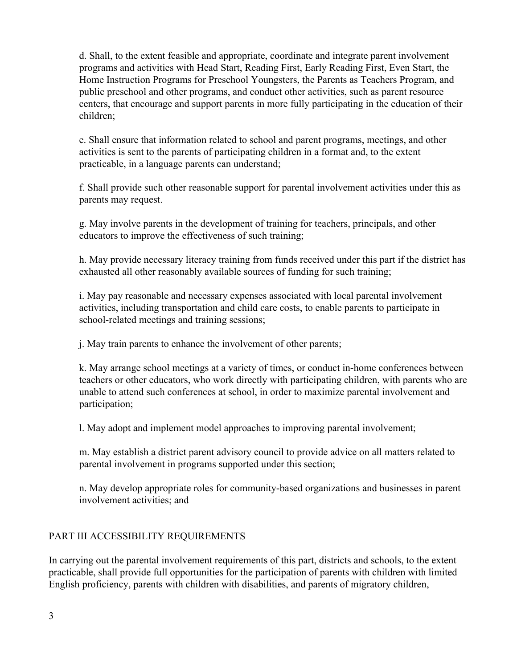d. Shall, to the extent feasible and appropriate, coordinate and integrate parent involvement programs and activities with Head Start, Reading First, Early Reading First, Even Start, the Home Instruction Programs for Preschool Youngsters, the Parents as Teachers Program, and public preschool and other programs, and conduct other activities, such as parent resource centers, that encourage and support parents in more fully participating in the education of their children;

e. Shall ensure that information related to school and parent programs, meetings, and other activities is sent to the parents of participating children in a format and, to the extent practicable, in a language parents can understand;

f. Shall provide such other reasonable support for parental involvement activities under this as parents may request.

g. May involve parents in the development of training for teachers, principals, and other educators to improve the effectiveness of such training;

h. May provide necessary literacy training from funds received under this part if the district has exhausted all other reasonably available sources of funding for such training;

i. May pay reasonable and necessary expenses associated with local parental involvement activities, including transportation and child care costs, to enable parents to participate in school-related meetings and training sessions;

j. May train parents to enhance the involvement of other parents;

k. May arrange school meetings at a variety of times, or conduct in-home conferences between teachers or other educators, who work directly with participating children, with parents who are unable to attend such conferences at school, in order to maximize parental involvement and participation;

l. May adopt and implement model approaches to improving parental involvement;

m. May establish a district parent advisory council to provide advice on all matters related to parental involvement in programs supported under this section;

n. May develop appropriate roles for community-based organizations and businesses in parent involvement activities; and

### PART III ACCESSIBILITY REQUIREMENTS

In carrying out the parental involvement requirements of this part, districts and schools, to the extent practicable, shall provide full opportunities for the participation of parents with children with limited English proficiency, parents with children with disabilities, and parents of migratory children,